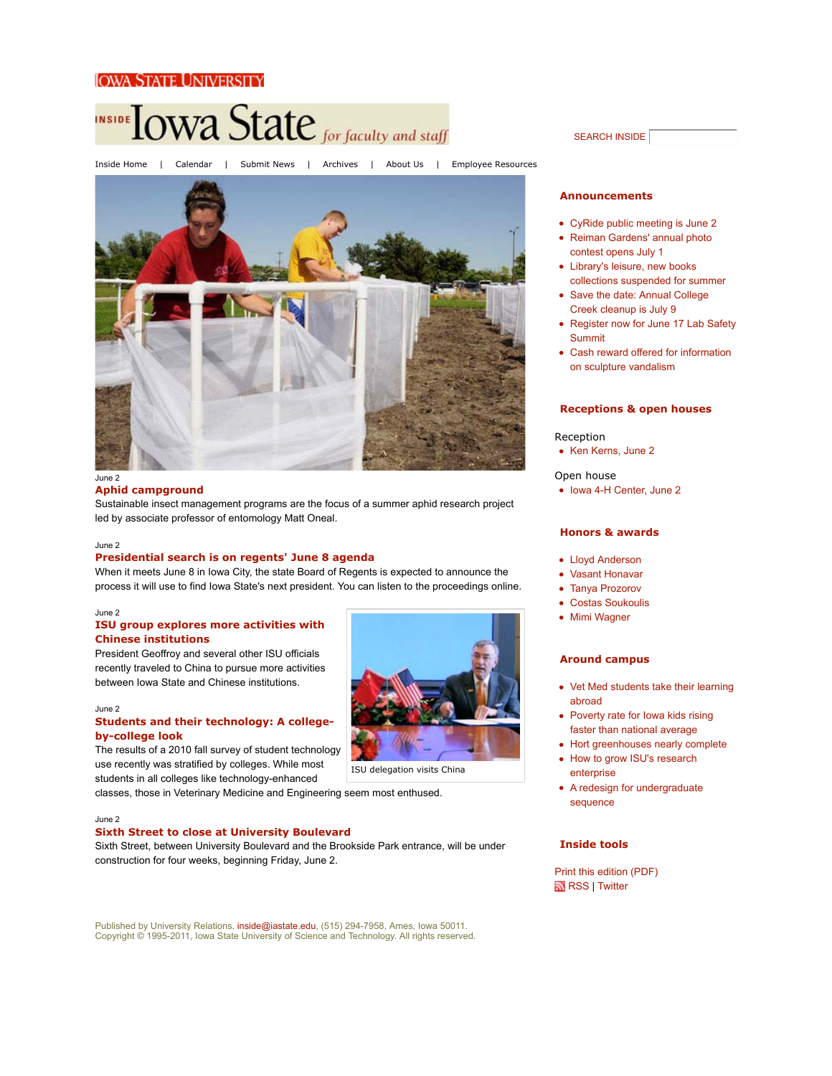## Iowa State University



June 2

#### **Aphid campground**

Sustainable insect management programs are the focus of a summer aphid research project led by associate professor of entomology Matt Oneal.

#### June 2

### **Presidential search is on regents' June 8 agenda**

When it meets June 8 in Iowa City, the state Board of Regents is expected to announce the process it will use to find Iowa State's next president. You can listen to the proceedings online.

#### June 2

## **ISU group explores more activities with Chinese institutions**

President Geoffroy and several other ISU officials recently traveled to China to pursue more activities between Iowa State and Chinese institutions.

### June 2

### **Students and their technology: A collegeby-college look**

The results of a 2010 fall survey of student technology use recently was stratified by colleges. While most students in all colleges like technology-enhanced

classes, those in Veterinary Medicine and Engineering seem most enthused.

#### June 2

### **Sixth Street to close at University Boulevard**

Sixth Street, between University Boulevard and the Brookside Park entrance, will be under construction for four weeks, beginning Friday, June 2.

Published by University Relations, inside@iastate.edu, (515) 294-7958, Ames, Iowa 50011. Copyright © 1995-2011, Iowa State University of Science and Technology. All rights reserved.

### SEARCH INSIDE

#### **Announcements**

- CyRide public meeting is June 2
- Reiman Gardens' annual photo contest opens July 1
- Library's leisure, new books collections suspended for summer
- Save the date: Annual College Creek cleanup is July 9
- Register now for June 17 Lab Safety Summit
- Cash reward offered for information on sculpture vandalism

#### **Receptions & open houses**

#### Reception

• Ken Kerns, June 2

#### Open house

• Iowa 4-H Center, June 2

### **Honors & awards**

- Lloyd Anderson
- Vasant Honavar
- Tanya Prozorov
- Costas Soukoulis
- Mimi Wagner

### **Around campus**

- Vet Med students take their learning abroad
- Poverty rate for Iowa kids rising faster than national average
- Hort greenhouses nearly complete
- How to grow ISU's research enterprise
- A redesign for undergraduate sequence

## **Inside tools**

Print this edition (PDF) RSS | Twitter



ISU delegation visits China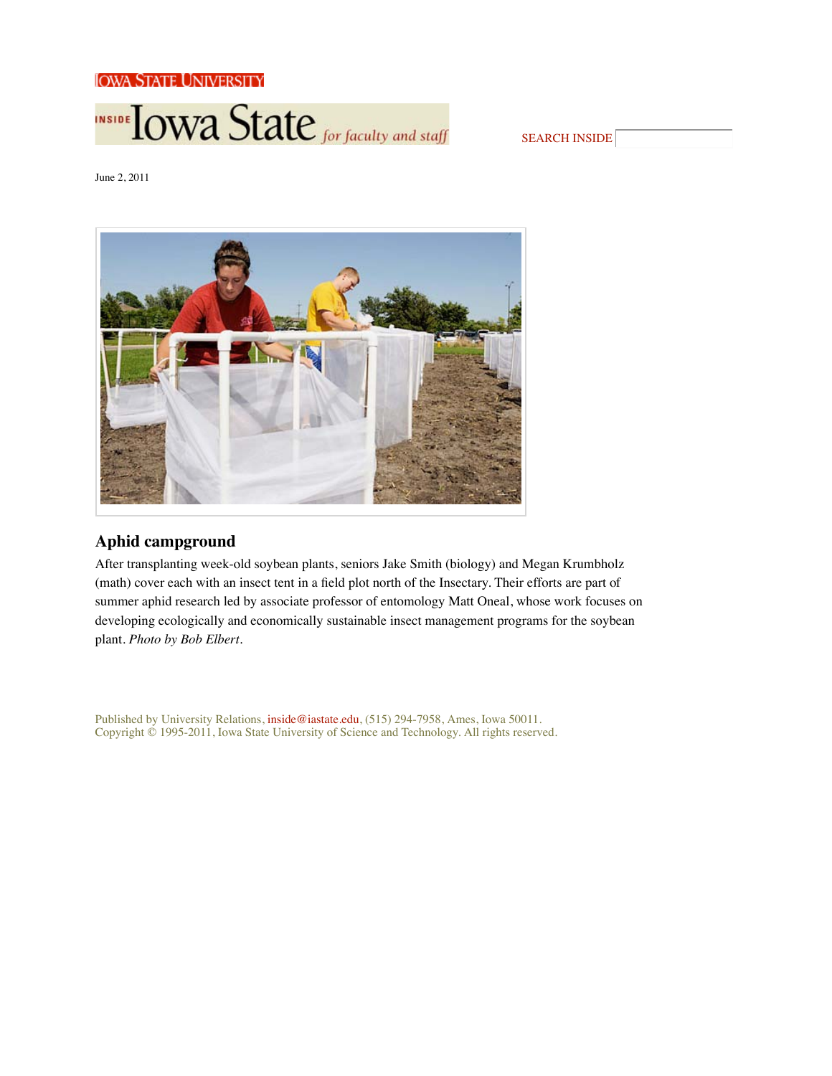Iowa State University



| <b>SEARCH INSIDE!</b> |  |
|-----------------------|--|
|-----------------------|--|

June 2, 2011



# **Aphid campground**

After transplanting week-old soybean plants, seniors Jake Smith (biology) and Megan Krumbholz (math) cover each with an insect tent in a field plot north of the Insectary. Their efforts are part of summer aphid research led by associate professor of entomology Matt Oneal, whose work focuses on developing ecologically and economically sustainable insect management programs for the soybean plant. *Photo by Bob Elbert*.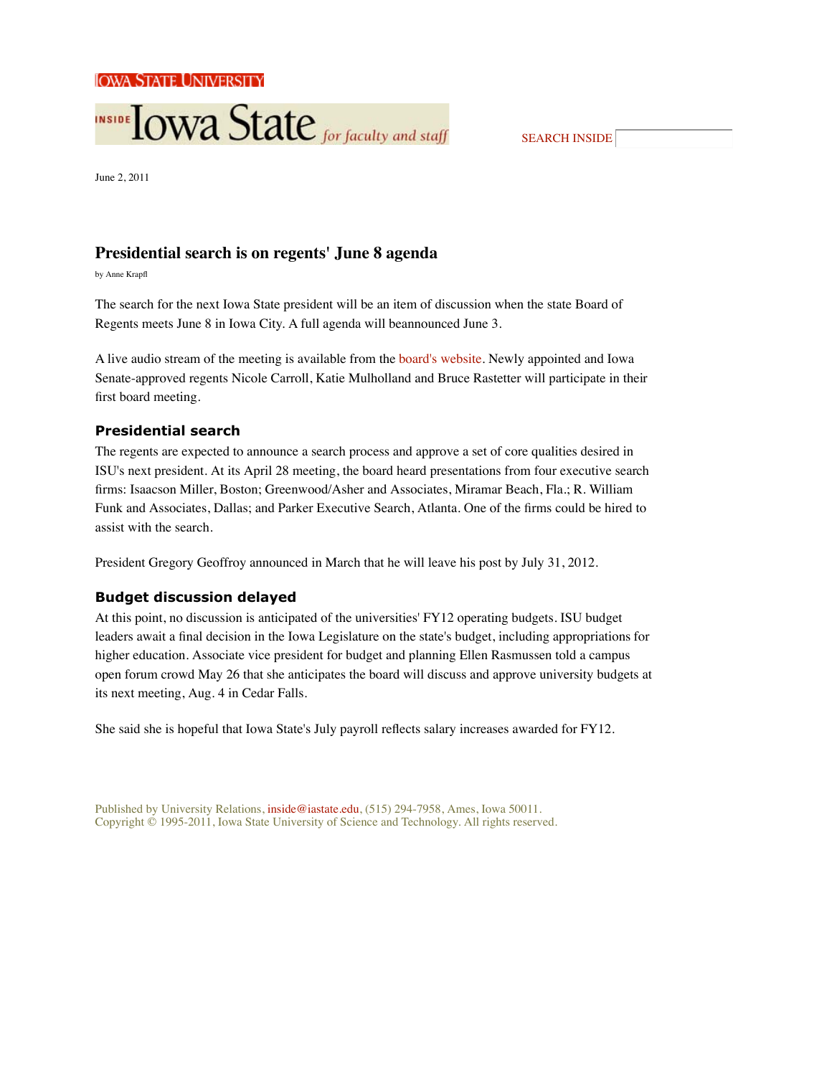

SEARCH INSIDE

June 2, 2011

# **Presidential search is on regents' June 8 agenda**

by Anne Krap

The search for the next Iowa State president will be an item of discussion when the state Board of Regents meets June 8 in Iowa City. A full agenda will beannounced June 3.

A live audio stream of the meeting is available from the board's website. Newly appointed and Iowa Senate-approved regents Nicole Carroll, Katie Mulholland and Bruce Rastetter will participate in their first board meeting.

## **Presidential search**

The regents are expected to announce a search process and approve a set of core qualities desired in ISU's next president. At its April 28 meeting, the board heard presentations from four executive search rms: Isaacson Miller, Boston; Greenwood/Asher and Associates, Miramar Beach, Fla.; R. William Funk and Associates, Dallas; and Parker Executive Search, Atlanta. One of the firms could be hired to assist with the search.

President Gregory Geoffroy announced in March that he will leave his post by July 31, 2012.

# **Budget discussion delayed**

At this point, no discussion is anticipated of the universities' FY12 operating budgets. ISU budget leaders await a final decision in the Iowa Legislature on the state's budget, including appropriations for higher education. Associate vice president for budget and planning Ellen Rasmussen told a campus open forum crowd May 26 that she anticipates the board will discuss and approve university budgets at its next meeting, Aug. 4 in Cedar Falls.

She said she is hopeful that Iowa State's July payroll reflects salary increases awarded for FY12.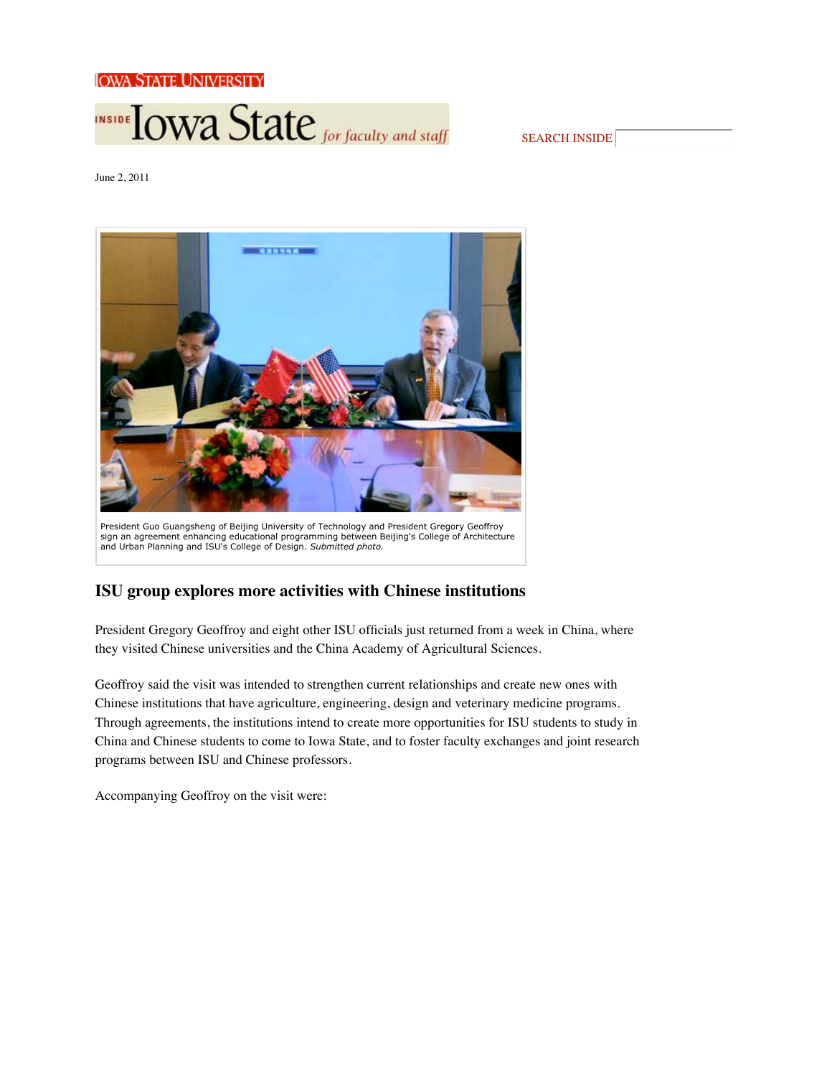

SEARCH INSIDE

June 2, 2011



# **ISU group explores more activities with Chinese institutions**

President Gregory Geoffroy and eight other ISU officials just returned from a week in China, where they visited Chinese universities and the China Academy of Agricultural Sciences.

Geoffroy said the visit was intended to strengthen current relationships and create new ones with Chinese institutions that have agriculture, engineering, design and veterinary medicine programs. Through agreements, the institutions intend to create more opportunities for ISU students to study in China and Chinese students to come to Iowa State, and to foster faculty exchanges and joint research programs between ISU and Chinese professors.

Accompanying Geoffroy on the visit were: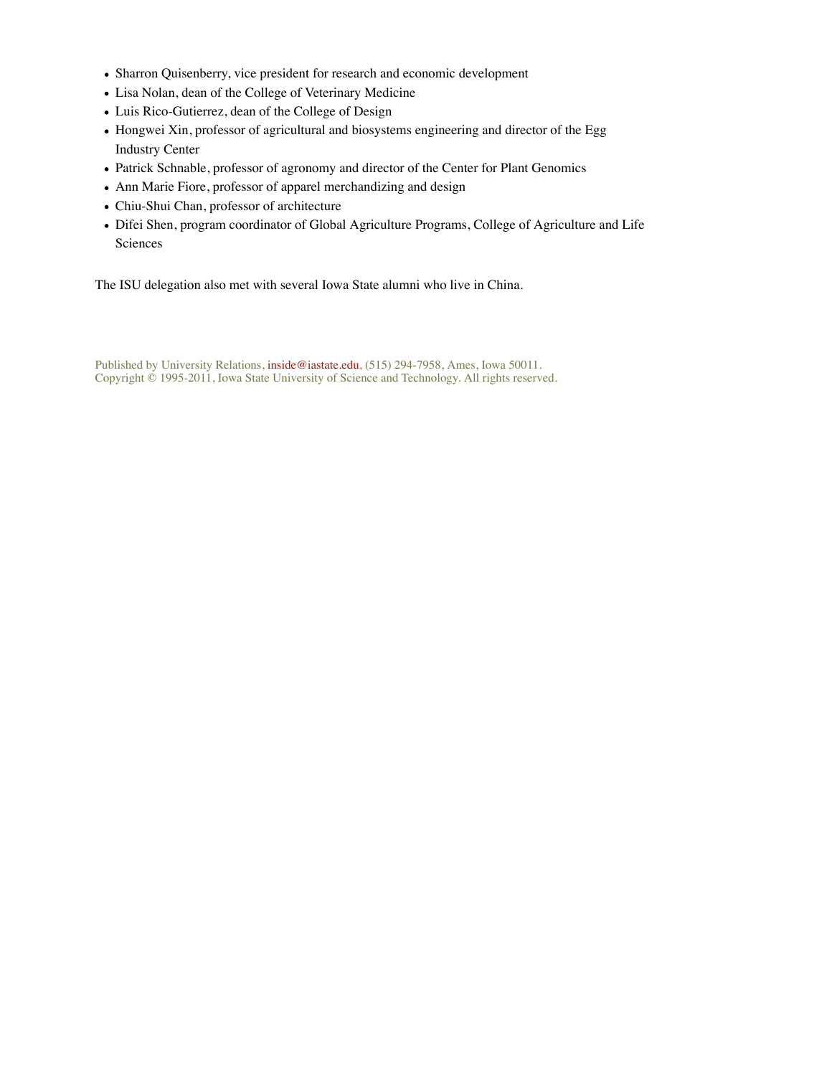- Sharron Quisenberry, vice president for research and economic development
- Lisa Nolan, dean of the College of Veterinary Medicine
- Luis Rico-Gutierrez, dean of the College of Design
- Hongwei Xin, professor of agricultural and biosystems engineering and director of the Egg Industry Center
- Patrick Schnable, professor of agronomy and director of the Center for Plant Genomics
- Ann Marie Fiore, professor of apparel merchandizing and design
- Chiu-Shui Chan, professor of architecture
- Difei Shen, program coordinator of Global Agriculture Programs, College of Agriculture and Life Sciences

The ISU delegation also met with several Iowa State alumni who live in China.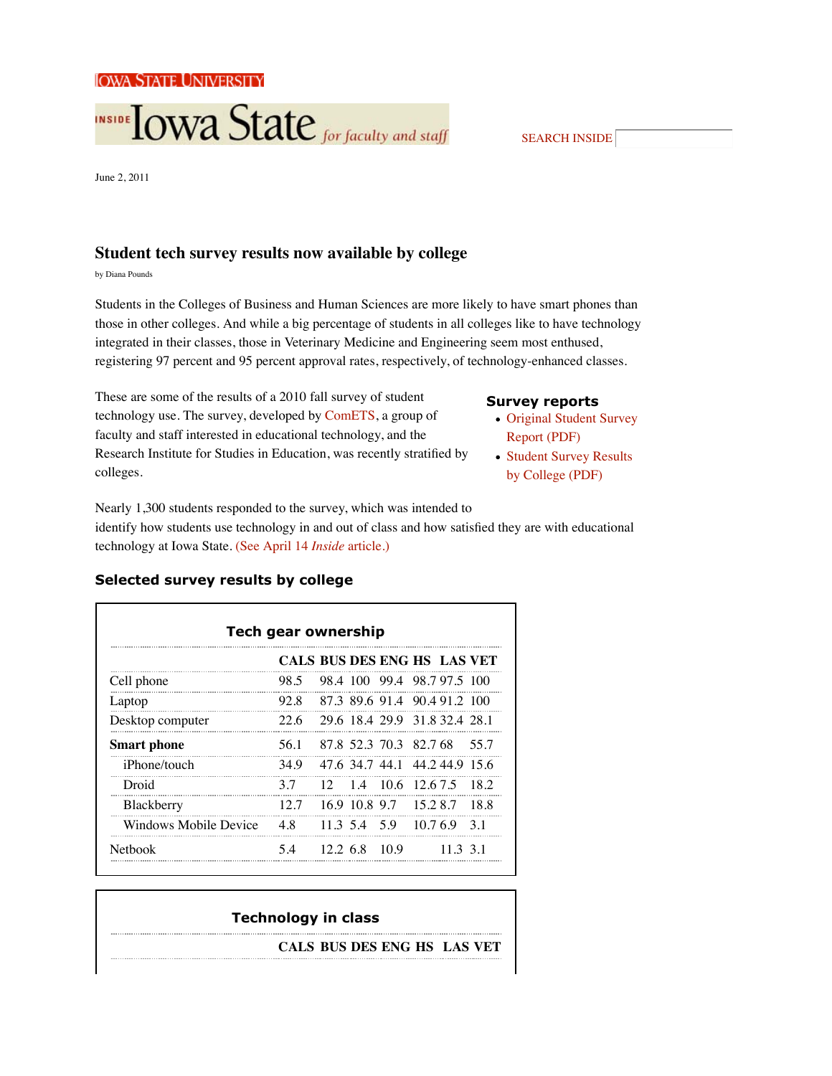

June 2, 2011

# **Student tech survey results now available by college**

by Diana Pounds

Students in the Colleges of Business and Human Sciences are more likely to have smart phones than those in other colleges. And while a big percentage of students in all colleges like to have technology integrated in their classes, those in Veterinary Medicine and Engineering seem most enthused, registering 97 percent and 95 percent approval rates, respectively, of technology-enhanced classes.

These are some of the results of a 2010 fall survey of student technology use. The survey, developed by ComETS, a group of faculty and staff interested in educational technology, and the Research Institute for Studies in Education, was recently stratified by colleges.

# **Survey reports**

- Original Student Survey Report (PDF)
- Student Survey Results by College (PDF)

Nearly 1,300 students responded to the survey, which was intended to identify how students use technology in and out of class and how satisfied they are with educational technology at Iowa State. (See April 14 *Inside* article.)

| <b>Tech gear ownership</b> |                             |  |               |                               |       |          |       |  |  |
|----------------------------|-----------------------------|--|---------------|-------------------------------|-------|----------|-------|--|--|
|                            | CALS BUS DES ENG HS LAS VET |  |               |                               |       |          |       |  |  |
| Cell phone                 | 98.5                        |  |               | 98 4 100 99 4 98 7 97 5 100   |       |          |       |  |  |
| Laptop                     | 92.8                        |  |               | 87.3 89.6 91.4 90.4 91.2 100  |       |          |       |  |  |
| Desktop computer           | 22.6                        |  |               | 29 6 18 4 29 9 31 8 32 4 28 1 |       |          |       |  |  |
| <b>Smart phone</b>         | 56.1                        |  |               | 87 8 52 3 70 3 82 7 68        |       |          | 55.7  |  |  |
| <i>iPhone/touch</i>        | 34.9                        |  |               | 47.6 34.7 44.1 44.2 44.9 15.6 |       |          |       |  |  |
| Droid                      | 37                          |  |               | 12 14 106 12675               |       |          | 18.2  |  |  |
| Blackberry                 | 12.7                        |  | 16.9 10.8 9.7 |                               | 15287 |          | -18.8 |  |  |
| Windows Mobile Device      | 48                          |  |               | 11 3 5 4 5 9 10 7 6 9 3 1     |       |          |       |  |  |
| <b>Nethook</b>             | 54                          |  | $12.268$ 10.9 |                               |       | 11 3 3 1 |       |  |  |

## **Selected survey results by college**

# **Technology in class**

**CALS BUS DES ENG HS LAS VET**

SEARCH INSIDE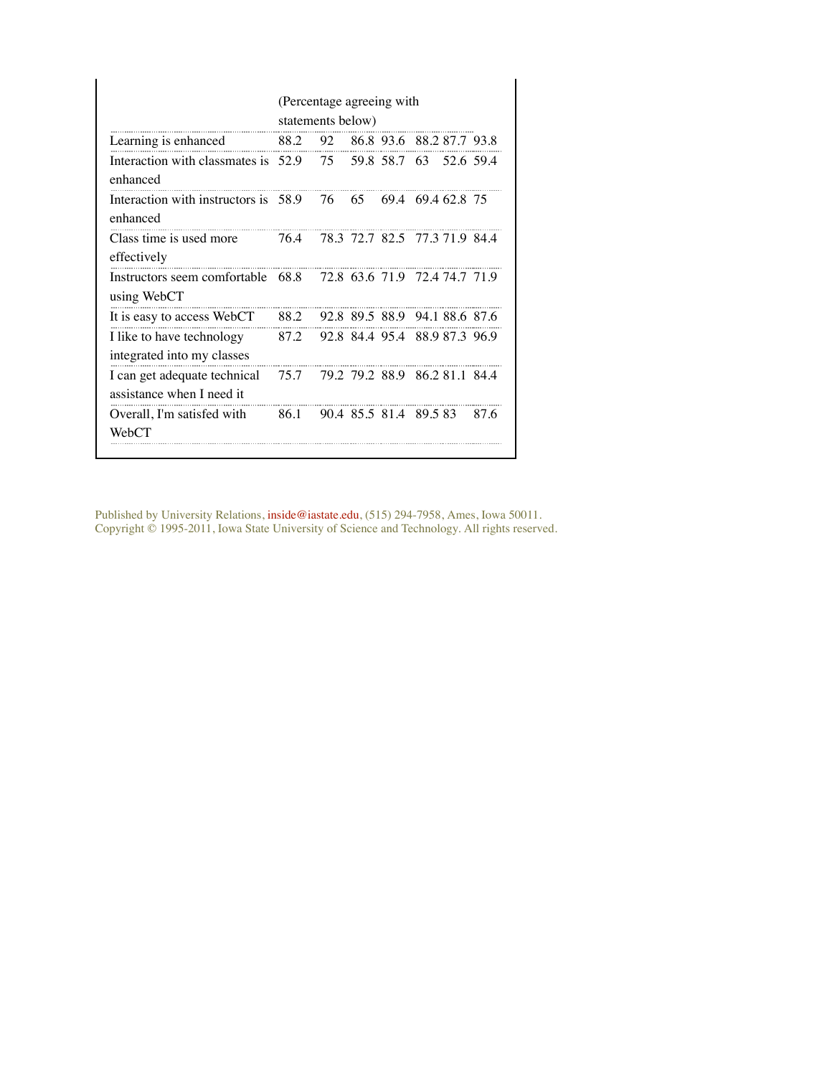|                                                                         | (Percentage agreeing with<br>statements below) |    |    |  |                                    |           |  |  |  |
|-------------------------------------------------------------------------|------------------------------------------------|----|----|--|------------------------------------|-----------|--|--|--|
| Learning is enhanced                                                    | 88.2                                           |    |    |  | 92 86.8 93.6 88.2 87.7 93.8        |           |  |  |  |
| Interaction with classmates is $52.9$ $75$ $59.8$ $58.7$ 63<br>enhanced |                                                |    |    |  |                                    | 52.6 59.4 |  |  |  |
| Interaction with instructors is 58.9<br>enhanced                        |                                                | 76 | 65 |  | 69.4 69.4 62.8 75                  |           |  |  |  |
| Class time is used more<br>effectively                                  | 76.4                                           |    |    |  | 78.3 72.7 82.5 77.3 71.9 84.4      |           |  |  |  |
| Instructors seem comfortable 68.8<br>using WebCT                        |                                                |    |    |  | 72.8 63.6 71.9 72.4 74.7 71.9      |           |  |  |  |
| It is easy to access WebCT                                              |                                                |    |    |  | 88.2 92.8 89.5 88.9 94.1 88.6 87.6 |           |  |  |  |
| I like to have technology<br>integrated into my classes                 | 87.2                                           |    |    |  | 92.8 84.4 95.4 88.9 87.3 96.9      |           |  |  |  |
| I can get adequate technical<br>assistance when I need it               | 75.7                                           |    |    |  | 79.2 79.2 88.9 86.2 81.1 84.4      |           |  |  |  |
| Overall, I'm satisfed with<br>WebCT                                     | 86.1                                           |    |    |  | 90.4 85.5 81.4 89.5 83             | 87 6      |  |  |  |